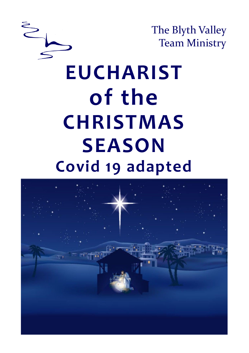

The Blyth Valley Team Ministry

# **EUCHARIST of the CHRISTMAS SEASON Covid 19 adapted**

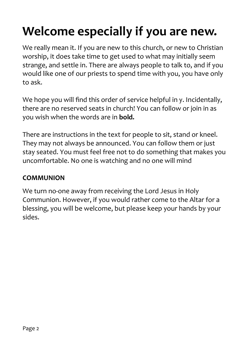## **Welcome especially if you are new.**

We really mean it. If you are new to this church, or new to Christian worship, it does take time to get used to what may initially seem strange, and settle in. There are always people to talk to, and if you would like one of our priests to spend time with you, you have only to ask.

We hope you will find this order of service helpful in y. Incidentally, there are no reserved seats in church! You can follow or join in as you wish when the words are in **bold.**

There are instructions in the text for people to sit, stand or kneel. They may not always be announced. You can follow them or just stay seated. You must feel free not to do something that makes you uncomfortable. No one is watching and no one will mind

#### **COMMUNION**

We turn no-one away from receiving the Lord Jesus in Holy Communion. However, if you would rather come to the Altar for a blessing, you will be welcome, but please keep your hands by your sides.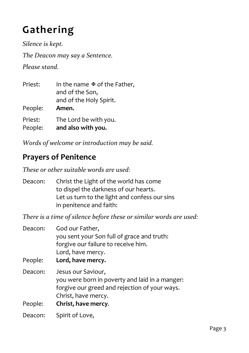## **Gathering**

*Silence is kept. The Deacon may say a Sentence. Please stand.*

| Priest:            | In the name $\mathfrak A$ of the Father,<br>and of the Son,<br>and of the Holy Spirit. |
|--------------------|----------------------------------------------------------------------------------------|
| People:            | Amen.                                                                                  |
| Priest:<br>People: | The Lord be with you.<br>and also with you.                                            |

*Words of welcome or introduction may be said.*

#### **Prayers of Penitence**

*These or other suitable words are used:*

Deacon: Christ the Light of the world has come to dispel the darkness of our hearts. Let us turn to the light and confess our sins in penitence and faith:

*There is a time of silence before these or similar words are used:*

| Deacon:            | God our Father,<br>you sent your Son full of grace and truth:<br>forgive our failure to receive him.<br>Lord, have mercy.                                           |
|--------------------|---------------------------------------------------------------------------------------------------------------------------------------------------------------------|
| People:            | Lord, have mercy.                                                                                                                                                   |
| Deacon:<br>People: | Jesus our Saviour,<br>you were born in poverty and laid in a manger:<br>forgive our greed and rejection of your ways.<br>Christ, have mercy.<br>Christ, have mercy. |
| Deacon:            | Spirit of Love,                                                                                                                                                     |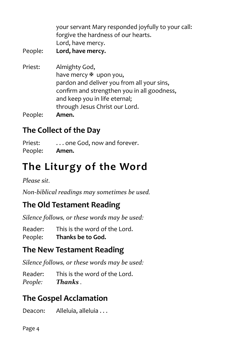| your servant Mary responded joyfully to your call: |
|----------------------------------------------------|
| forgive the hardness of our hearts.                |
| Lord, have mercy.                                  |

- People: **Lord, have mercy.**
- Priest: Almighty God, have mercy  $\mathbb F$  upon you, pardon and deliver you from all your sins, confirm and strengthen you in all goodness, and keep you in life eternal; through Jesus Christ our Lord. People: **Amen.**

### **The Collect of the Day**

Priest: ... one God, now and forever. People: **Amen.**

## **The Liturgy of the Word**

*Please sit.*

*Non-biblical readings may sometimes be used.*

## **The Old Testament Reading**

*Silence follows, or these words may be used:*

Reader: This is the word of the Lord. People: **Thanks be to God.**

## **The New Testament Reading**

*Silence follows, or these words may be used:*

Reader: This is the word of the Lord. *People: Thanks .* 

## **The Gospel Acclamation**

Deacon: Alleluia, alleluia . . .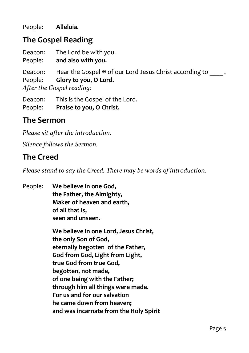People: **Alleluia.**

#### **The Gospel Reading**

Deacon: The Lord be with you. People: **and also with you.** Deacon: Hear the Gospel  $\mathcal F$  of our Lord Jesus Christ according to  $\Box$ . People: **Glory to you, O Lord.** *After the Gospel reading:*

Deacon: This is the Gospel of the Lord. People: **Praise to you, O Christ.**

#### **The Sermon**

*Please sit after the introduction.*

*Silence follows the Sermon.*

#### **The Creed**

*Please stand to say the Creed. There may be words of introduction.*

People: **We believe in one God, the Father, the Almighty, Maker of heaven and earth, of all that is, seen and unseen.**

> **We believe in one Lord, Jesus Christ, the only Son of God, eternally begotten of the Father, God from God, Light from Light, true God from true God, begotten, not made, of one being with the Father; through him all things were made. For us and for our salvation he came down from heaven; and was incarnate from the Holy Spirit**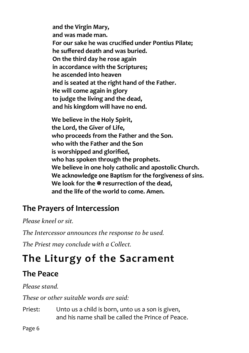**and the Virgin Mary, and was made man. For our sake he was crucified under Pontius Pilate; he suffered death and was buried. On the third day he rose again in accordance with the Scriptures; he ascended into heaven and is seated at the right hand of the Father. He will come again in glory to judge the living and the dead, and his kingdom will have no end.**

**We believe in the Holy Spirit, the Lord, the Giver of Life, who proceeds from the Father and the Son. who with the Father and the Son is worshipped and glorified, who has spoken through the prophets. We believe in one holy catholic and apostolic Church.** We acknowledge one Baptism for the forgiveness of sins. **We look for the**  $\Phi$  **resurrection of the dead. and the life of the world to come. Amen.**

#### **The Prayers of Intercession**

*Please kneel or sit.*

*The Intercessor announces the response to be used.*

*The Priest may conclude with a Collect.*

## **The Liturgy of the Sacrament**

## **The Peace**

*Please stand.*

*These or other suitable words are said:*

Priest: Unto us a child is born, unto us a son is given, and his name shall be called the Prince of Peace.

Page 6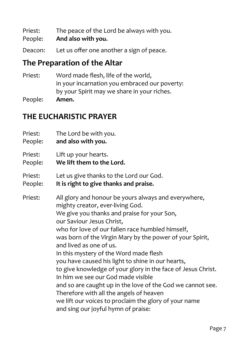Priest: The peace of the Lord be always with you.

People: **And also with you.**

Deacon: Let us offer one another a sign of peace.

#### **The Preparation of the Altar**

- Priest: Word made flesh, life of the world, in your incarnation you embraced our poverty: by your Spirit may we share in your riches.
- People: **Amen.**

#### **THE EUCHARISTIC PRAYER**

- Priest: The Lord be with you.
- People: **and also with you.**
- Priest: Lift up your hearts.
- People: **We lift them to the Lord.**
- Priest: Let us give thanks to the Lord our God.
- People: **It is right to give thanks and praise.**

Priest: All glory and honour be yours always and everywhere, mighty creator, ever-living God. We give you thanks and praise for your Son, our Saviour Jesus Christ, who for love of our fallen race humbled himself, was born of the Virgin Mary by the power of your Spirit, and lived as one of us. In this mystery of the Word made flesh you have caused his light to shine in our hearts, to give knowledge of your glory in the face of Jesus Christ. In him we see our God made visible and so are caught up in the love of the God we cannot see. Therefore with all the angels of heaven we lift our voices to proclaim the glory of your name and sing our joyful hymn of praise: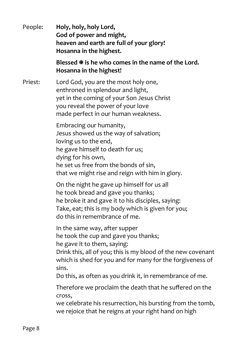People: **Holy, holy, holy Lord, God of power and might, heaven and earth are full of your glory! Hosanna in the highest.**

#### **Blessed is he who comes in the name of the Lord. Hosanna in the highest!**

Priest: Lord God, you are the most holy one, enthroned in splendour and light, yet in the coming of your Son Jesus Christ you reveal the power of your love made perfect in our human weakness.

> Embracing our humanity, Jesus showed us the way of salvation; loving us to the end, he gave himself to death for us; dying for his own, he set us free from the bonds of sin, that we might rise and reign with him in glory.

On the night he gave up himself for us all he took bread and gave you thanks; he broke it and gave it to his disciples, saying: Take, eat; this is my body which is given for you; do this in remembrance of me.

In the same way, after supper he took the cup and gave you thanks; he gave it to them, saying:

Drink this, all of you; this is my blood of the new covenant which is shed for you and for many for the forgiveness of sins.

Do this, as often as you drink it, in remembrance of me.

Therefore we proclaim the death that he suffered on the cross,

we celebrate his resurrection, his bursting from the tomb, we rejoice that he reigns at your right hand on high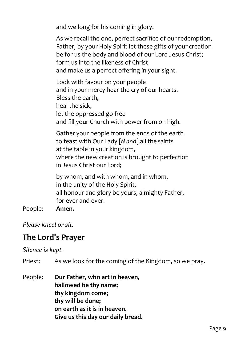and we long for his coming in glory.

As we recall the one, perfect sacrifice of our redemption, Father, by your Holy Spirit let these gifts of your creation be for us the body and blood of our Lord Jesus Christ; form us into the likeness of Christ and make us a perfect offering in your sight.

Look with favour on your people and in your mercy hear the cry of our hearts. Bless the earth, heal the sick, let the oppressed go free and fill your Church with power from on high.

Gather your people from the ends of the earth to feast with Our Lady [*N and*] all the saints at the table in your kingdom, where the new creation is brought to perfection in Jesus Christ our Lord;

by whom, and with whom, and in whom, in the unity of the Holy Spirit, all honour and glory be yours, almighty Father, for ever and ever.

#### People: **Amen.**

*Please kneel or sit.*

#### **The Lord's Prayer**

*Silence is kept.*

Priest: As we look for the coming of the Kingdom, so we pray.

People: **Our Father, who art in heaven, hallowed be thy name; thy kingdom come; thy will be done; on earth as it is in heaven. Give us this day our daily bread.**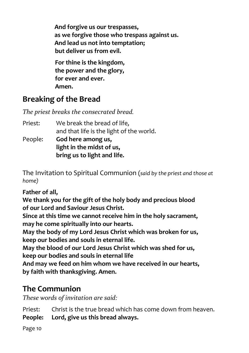**And forgive us our trespasses, as we forgive those who trespass against us. And lead us not into temptation; but deliver us from evil.**

**For thine is the kingdom, the power and the glory, for ever and ever. Amen.**

### **Breaking of the Bread**

*The priest breaks the consecrated bread.* 

| Priest: | We break the bread of life,              |
|---------|------------------------------------------|
|         | and that life is the light of the world. |
| People: | God here among us,                       |
|         | light in the midst of us,                |
|         | bring us to light and life.              |

The Invitation to Spiritual Communion (*said by the priest and those at home)*

#### **Father of all,**

**We thank you for the gift of the holy body and precious blood of our Lord and Saviour Jesus Christ.**

**Since at this time we cannot receive him in the holy sacrament, may he come spiritually into our hearts.**

**May the body of my Lord Jesus Christ which was broken for us, keep our bodies and souls in eternal life.**

**May the blood of our Lord Jesus Christ which was shed for us, keep our bodies and souls in eternal life**

**And may we feed on him whom we have received in our hearts, by faith with thanksgiving. Amen.**

## **The Communion**

*These words of invitation are said:*

Priest: Christ is the true bread which has come down from heaven.

**People: Lord, give us this bread always.**

Page 10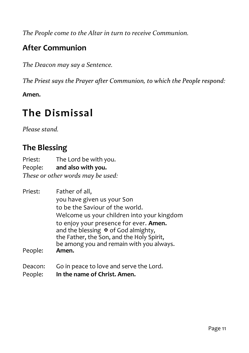*The People come to the Altar in turn to receive Communion.* 

### **After Communion**

*The Deacon may say a Sentence.*

The Priest says the Prayer after Communion, to which the People respond:

**Amen.**

## **The Dismissal**

*Please stand.*

## **The Blessing**

Priest: The Lord be with you.<br>People: **and also with you.** and also with you. *These or other words may be used:*

| Priest: | Father of all,                                                                |
|---------|-------------------------------------------------------------------------------|
|         | you have given us your Son                                                    |
|         | to be the Saviour of the world.                                               |
|         | Welcome us your children into your kingdom                                    |
|         | to enjoy your presence for ever. Amen.<br>and the blessing \ of God almighty, |
|         | the Father, the Son, and the Holy Spirit,                                     |
|         | be among you and remain with you always.                                      |
| People: | Amen.                                                                         |
|         |                                                                               |

- Deacon: Go in peace to love and serve the Lord.
- People: **In the name of Christ. Amen.**